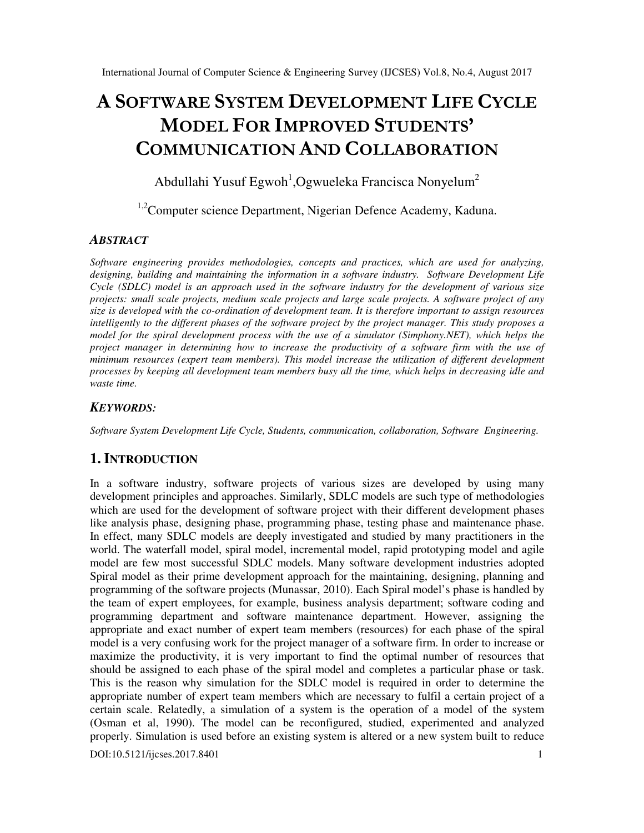# **A SOFTWARE SYSTEM DEVELOPMENT LIFE CYCLE MODEL FOR IMPROVED STUDENTS' COMMUNICATION AND COLLABORATION**

Abdullahi Yusuf Egwoh<sup>1</sup>, Ogwueleka Francisca Nonyelum<sup>2</sup>

<sup>1,2</sup>Computer science Department, Nigerian Defence Academy, Kaduna.

#### *ABSTRACT*

*Software engineering provides methodologies, concepts and practices, which are used for analyzing, designing, building and maintaining the information in a software industry. Software Development Life Cycle (SDLC) model is an approach used in the software industry for the development of various size projects: small scale projects, medium scale projects and large scale projects. A software project of any size is developed with the co-ordination of development team. It is therefore important to assign resources intelligently to the different phases of the software project by the project manager. This study proposes a model for the spiral development process with the use of a simulator (Simphony.NET), which helps the project manager in determining how to increase the productivity of a software firm with the use of minimum resources (expert team members). This model increase the utilization of different development processes by keeping all development team members busy all the time, which helps in decreasing idle and waste time.* 

# *KEYWORDS:*

*Software System Development Life Cycle, Students, communication, collaboration, Software Engineering.*

# **1. INTRODUCTION**

In a software industry, software projects of various sizes are developed by using many development principles and approaches. Similarly, SDLC models are such type of methodologies which are used for the development of software project with their different development phases like analysis phase, designing phase, programming phase, testing phase and maintenance phase. In effect, many SDLC models are deeply investigated and studied by many practitioners in the world. The waterfall model, spiral model, incremental model, rapid prototyping model and agile model are few most successful SDLC models. Many software development industries adopted Spiral model as their prime development approach for the maintaining, designing, planning and programming of the software projects (Munassar, 2010). Each Spiral model's phase is handled by the team of expert employees, for example, business analysis department; software coding and programming department and software maintenance department. However, assigning the appropriate and exact number of expert team members (resources) for each phase of the spiral model is a very confusing work for the project manager of a software firm. In order to increase or maximize the productivity, it is very important to find the optimal number of resources that should be assigned to each phase of the spiral model and completes a particular phase or task. This is the reason why simulation for the SDLC model is required in order to determine the appropriate number of expert team members which are necessary to fulfil a certain project of a certain scale. Relatedly, a simulation of a system is the operation of a model of the system (Osman et al, 1990). The model can be reconfigured, studied, experimented and analyzed properly. Simulation is used before an existing system is altered or a new system built to reduce

DOI:10.5121/ijcses.2017.8401 1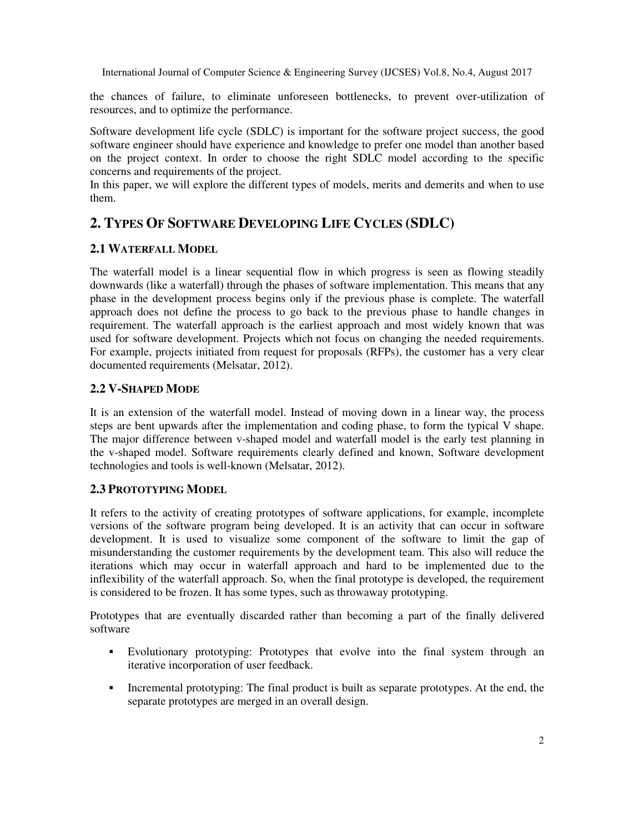the chances of failure, to eliminate unforeseen bottlenecks, to prevent over-utilization of resources, and to optimize the performance.

Software development life cycle (SDLC) is important for the software project success, the good software engineer should have experience and knowledge to prefer one model than another based on the project context. In order to choose the right SDLC model according to the specific concerns and requirements of the project.

In this paper, we will explore the different types of models, merits and demerits and when to use them.

# **2. TYPES OF SOFTWARE DEVELOPING LIFE CYCLES (SDLC)**

# **2.1 WATERFALL MODEL**

The waterfall model is a linear sequential flow in which progress is seen as flowing steadily downwards (like a waterfall) through the phases of software implementation. This means that any phase in the development process begins only if the previous phase is complete. The waterfall approach does not define the process to go back to the previous phase to handle changes in requirement. The waterfall approach is the earliest approach and most widely known that was used for software development. Projects which not focus on changing the needed requirements. For example, projects initiated from request for proposals (RFPs), the customer has a very clear documented requirements (Melsatar, 2012).

# **2.2 V-SHAPED MODE**

It is an extension of the waterfall model. Instead of moving down in a linear way, the process steps are bent upwards after the implementation and coding phase, to form the typical V shape. The major difference between v-shaped model and waterfall model is the early test planning in the v-shaped model. Software requirements clearly defined and known, Software development technologies and tools is well-known (Melsatar, 2012).

# **2.3 PROTOTYPING MODEL**

It refers to the activity of creating prototypes of software applications, for example, incomplete versions of the software program being developed. It is an activity that can occur in software development. It is used to visualize some component of the software to limit the gap of misunderstanding the customer requirements by the development team. This also will reduce the iterations which may occur in waterfall approach and hard to be implemented due to the inflexibility of the waterfall approach. So, when the final prototype is developed, the requirement is considered to be frozen. It has some types, such as throwaway prototyping.

Prototypes that are eventually discarded rather than becoming a part of the finally delivered software

- Evolutionary prototyping: Prototypes that evolve into the final system through an iterative incorporation of user feedback.
- Incremental prototyping: The final product is built as separate prototypes. At the end, the separate prototypes are merged in an overall design.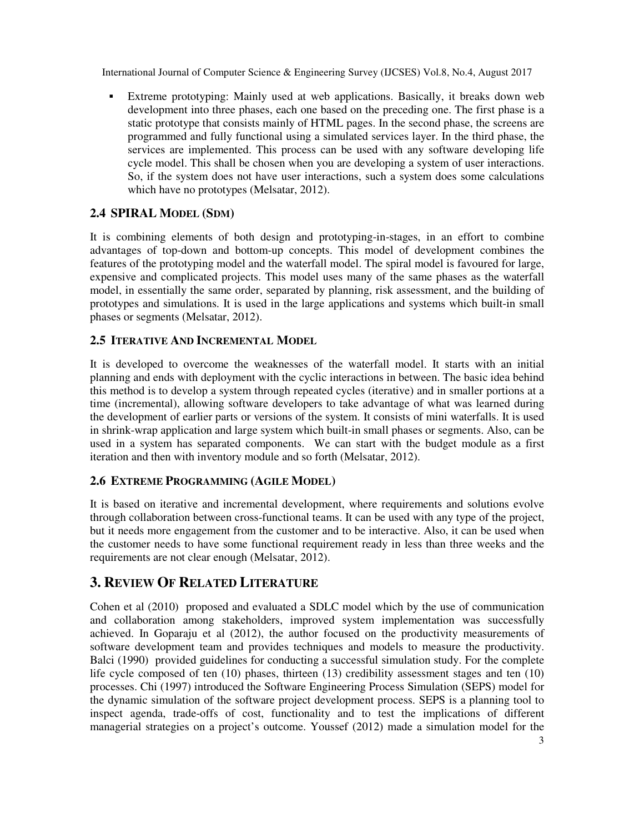Extreme prototyping: Mainly used at web applications. Basically, it breaks down web development into three phases, each one based on the preceding one. The first phase is a static prototype that consists mainly of HTML pages. In the second phase, the screens are programmed and fully functional using a simulated services layer. In the third phase, the services are implemented. This process can be used with any software developing life cycle model. This shall be chosen when you are developing a system of user interactions. So, if the system does not have user interactions, such a system does some calculations which have no prototypes (Melsatar, 2012).

# **2.4 SPIRAL MODEL (SDM)**

It is combining elements of both design and prototyping-in-stages, in an effort to combine advantages of top-down and bottom-up concepts. This model of development combines the features of the prototyping model and the waterfall model. The spiral model is favoured for large, expensive and complicated projects. This model uses many of the same phases as the waterfall model, in essentially the same order, separated by planning, risk assessment, and the building of prototypes and simulations. It is used in the large applications and systems which built-in small phases or segments (Melsatar, 2012).

# **2.5 ITERATIVE AND INCREMENTAL MODEL**

It is developed to overcome the weaknesses of the waterfall model. It starts with an initial planning and ends with deployment with the cyclic interactions in between. The basic idea behind this method is to develop a system through repeated cycles (iterative) and in smaller portions at a time (incremental), allowing software developers to take advantage of what was learned during the development of earlier parts or versions of the system. It consists of mini waterfalls. It is used in shrink-wrap application and large system which built-in small phases or segments. Also, can be used in a system has separated components. We can start with the budget module as a first iteration and then with inventory module and so forth (Melsatar, 2012).

# **2.6 EXTREME PROGRAMMING (AGILE MODEL)**

It is based on iterative and incremental development, where requirements and solutions evolve through collaboration between cross-functional teams. It can be used with any type of the project, but it needs more engagement from the customer and to be interactive. Also, it can be used when the customer needs to have some functional requirement ready in less than three weeks and the requirements are not clear enough (Melsatar, 2012).

# **3. REVIEW OF RELATED LITERATURE**

Cohen et al (2010) proposed and evaluated a SDLC model which by the use of communication and collaboration among stakeholders, improved system implementation was successfully achieved. In Goparaju et al (2012), the author focused on the productivity measurements of software development team and provides techniques and models to measure the productivity. Balci (1990) provided guidelines for conducting a successful simulation study. For the complete life cycle composed of ten (10) phases, thirteen (13) credibility assessment stages and ten (10) processes. Chi (1997) introduced the Software Engineering Process Simulation (SEPS) model for the dynamic simulation of the software project development process. SEPS is a planning tool to inspect agenda, trade-offs of cost, functionality and to test the implications of different managerial strategies on a project's outcome. Youssef (2012) made a simulation model for the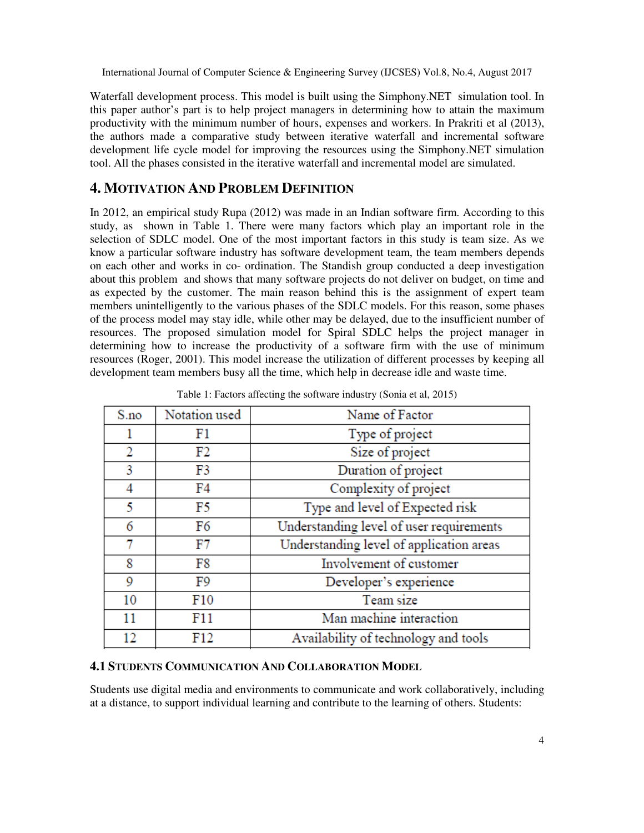Waterfall development process. This model is built using the Simphony.NET simulation tool. In this paper author's part is to help project managers in determining how to attain the maximum productivity with the minimum number of hours, expenses and workers. In Prakriti et al (2013), the authors made a comparative study between iterative waterfall and incremental software development life cycle model for improving the resources using the Simphony.NET simulation tool. All the phases consisted in the iterative waterfall and incremental model are simulated.

# **4. MOTIVATION AND PROBLEM DEFINITION**

In 2012, an empirical study Rupa (2012) was made in an Indian software firm. According to this study, as shown in Table 1. There were many factors which play an important role in the selection of SDLC model. One of the most important factors in this study is team size. As we know a particular software industry has software development team, the team members depends on each other and works in co- ordination. The Standish group conducted a deep investigation about this problem and shows that many software projects do not deliver on budget, on time and as expected by the customer. The main reason behind this is the assignment of expert team members unintelligently to the various phases of the SDLC models. For this reason, some phases of the process model may stay idle, while other may be delayed, due to the insufficient number of resources. The proposed simulation model for Spiral SDLC helps the project manager in determining how to increase the productivity of a software firm with the use of minimum resources (Roger, 2001). This model increase the utilization of different processes by keeping all development team members busy all the time, which help in decrease idle and waste time.

| S.no | Notation used | Name of Factor                           |  |
|------|---------------|------------------------------------------|--|
|      | F1            | Type of project                          |  |
| 2    | F2            | Size of project                          |  |
| 3    | F3            | Duration of project                      |  |
| 4    | F4            | Complexity of project                    |  |
| 5    | F5            | Type and level of Expected risk          |  |
| 6    | F6            | Understanding level of user requirements |  |
| 7    | F7            | Understanding level of application areas |  |
| 8    | F8            | Involvement of customer                  |  |
| 9    | F9            | Developer's experience                   |  |
| 10   | F10           | Team size                                |  |
| 11   | F11           | Man machine interaction                  |  |
| 12   | F12           | Availability of technology and tools     |  |

Table 1: Factors affecting the software industry (Sonia et al, 2015)

#### **4.1 STUDENTS COMMUNICATION AND COLLABORATION MODEL**

Students use digital media and environments to communicate and work collaboratively, including at a distance, to support individual learning and contribute to the learning of others. Students: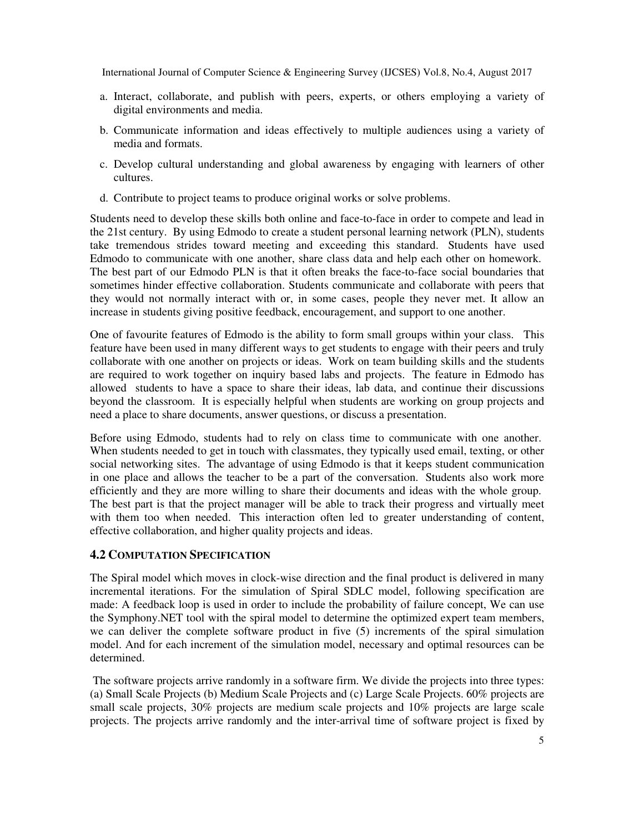- a. Interact, collaborate, and publish with peers, experts, or others employing a variety of digital environments and media.
- b. Communicate information and ideas effectively to multiple audiences using a variety of media and formats.
- c. Develop cultural understanding and global awareness by engaging with learners of other cultures.
- d. Contribute to project teams to produce original works or solve problems.

Students need to develop these skills both online and face-to-face in order to compete and lead in the 21st century. By using Edmodo to create a student personal learning network (PLN), students take tremendous strides toward meeting and exceeding this standard. Students have used Edmodo to communicate with one another, share class data and help each other on homework. The best part of our Edmodo PLN is that it often breaks the face-to-face social boundaries that sometimes hinder effective collaboration. Students communicate and collaborate with peers that they would not normally interact with or, in some cases, people they never met. It allow an increase in students giving positive feedback, encouragement, and support to one another.

One of favourite features of Edmodo is the ability to form small groups within your class. This feature have been used in many different ways to get students to engage with their peers and truly collaborate with one another on projects or ideas. Work on team building skills and the students are required to work together on inquiry based labs and projects. The feature in Edmodo has allowed students to have a space to share their ideas, lab data, and continue their discussions beyond the classroom. It is especially helpful when students are working on group projects and need a place to share documents, answer questions, or discuss a presentation.

Before using Edmodo, students had to rely on class time to communicate with one another. When students needed to get in touch with classmates, they typically used email, texting, or other social networking sites. The advantage of using Edmodo is that it keeps student communication in one place and allows the teacher to be a part of the conversation. Students also work more efficiently and they are more willing to share their documents and ideas with the whole group. The best part is that the project manager will be able to track their progress and virtually meet with them too when needed. This interaction often led to greater understanding of content, effective collaboration, and higher quality projects and ideas.

#### **4.2 COMPUTATION SPECIFICATION**

The Spiral model which moves in clock-wise direction and the final product is delivered in many incremental iterations. For the simulation of Spiral SDLC model, following specification are made: A feedback loop is used in order to include the probability of failure concept, We can use the Symphony.NET tool with the spiral model to determine the optimized expert team members, we can deliver the complete software product in five (5) increments of the spiral simulation model. And for each increment of the simulation model, necessary and optimal resources can be determined.

 The software projects arrive randomly in a software firm. We divide the projects into three types: (a) Small Scale Projects (b) Medium Scale Projects and (c) Large Scale Projects. 60% projects are small scale projects, 30% projects are medium scale projects and 10% projects are large scale projects. The projects arrive randomly and the inter-arrival time of software project is fixed by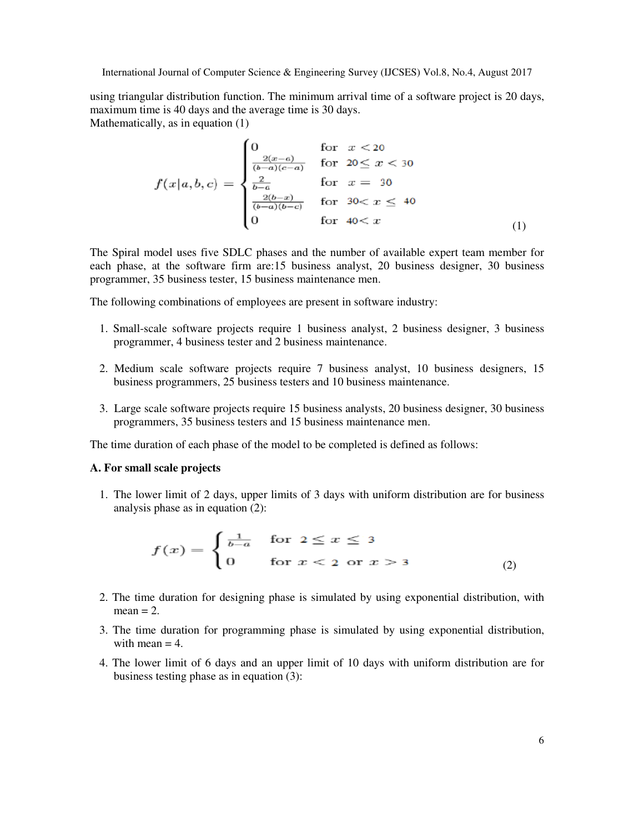using triangular distribution function. The minimum arrival time of a software project is 20 days, maximum time is 40 days and the average time is 30 days. Mathematically, as in equation (1)

$$
f(x|a,b,c) = \begin{cases} 0 & \text{for } x < 20\\ \frac{2(x-a)}{(b-a)(c-a)} & \text{for } 20 \le x < 30\\ \frac{2}{b-a} & \text{for } x = 30\\ \frac{2(b-x)}{(b-a)(b-c)} & \text{for } 30 < x \le 40\\ 0 & \text{for } 40 < x \end{cases}
$$
(1)

The Spiral model uses five SDLC phases and the number of available expert team member for each phase, at the software firm are:15 business analyst, 20 business designer, 30 business programmer, 35 business tester, 15 business maintenance men.

The following combinations of employees are present in software industry:

- 1. Small-scale software projects require 1 business analyst, 2 business designer, 3 business programmer, 4 business tester and 2 business maintenance.
- 2. Medium scale software projects require 7 business analyst, 10 business designers, 15 business programmers, 25 business testers and 10 business maintenance.
- 3. Large scale software projects require 15 business analysts, 20 business designer, 30 business programmers, 35 business testers and 15 business maintenance men.

The time duration of each phase of the model to be completed is defined as follows:

#### **A. For small scale projects**

1. The lower limit of 2 days, upper limits of 3 days with uniform distribution are for business analysis phase as in equation (2):

$$
f(x) = \begin{cases} \frac{1}{b-a} & \text{for } 2 \le x \le 3\\ 0 & \text{for } x < 2 \text{ or } x > 3 \end{cases}
$$
 (2)

- 2. The time duration for designing phase is simulated by using exponential distribution, with  $mean = 2$ .
- 3. The time duration for programming phase is simulated by using exponential distribution, with mean  $= 4$ .
- 4. The lower limit of 6 days and an upper limit of 10 days with uniform distribution are for business testing phase as in equation (3):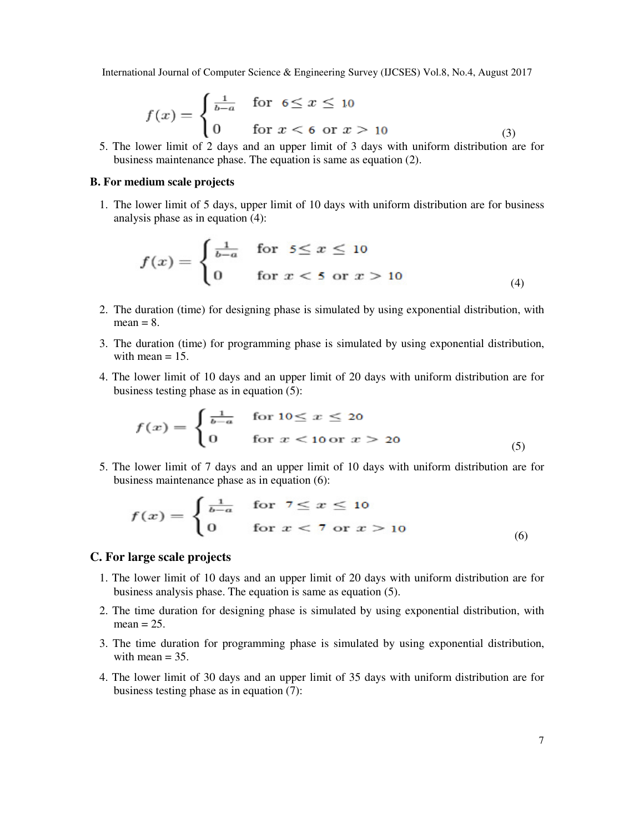$$
f(x) = \begin{cases} \frac{1}{b-a} & \text{for } 6 \le x \le 10\\ 0 & \text{for } x < 6 \text{ or } x > 10 \end{cases} \tag{3}
$$

5. The lower limit of 2 days and an upper limit of 3 days with uniform distribution are for business maintenance phase. The equation is same as equation (2).

#### **B. For medium scale projects**

1. The lower limit of 5 days, upper limit of 10 days with uniform distribution are for business analysis phase as in equation (4):

$$
f(x) = \begin{cases} \frac{1}{b-a} & \text{for } 5 \le x \le 10 \\ 0 & \text{for } x < 5 \text{ or } x > 10 \end{cases} \tag{4}
$$

- 2. The duration (time) for designing phase is simulated by using exponential distribution, with  $mean = 8$ .
- 3. The duration (time) for programming phase is simulated by using exponential distribution, with mean  $= 15$ .
- 4. The lower limit of 10 days and an upper limit of 20 days with uniform distribution are for business testing phase as in equation (5):

$$
f(x) = \begin{cases} \frac{1}{b-a} & \text{for } 10 \le x \le 20 \\ 0 & \text{for } x < 10 \text{ or } x > 20 \end{cases}
$$
(5)

5. The lower limit of 7 days and an upper limit of 10 days with uniform distribution are for business maintenance phase as in equation (6):

$$
f(x) = \begin{cases} \frac{1}{b-a} & \text{for } 7 \le x \le 10 \\ 0 & \text{for } x < 7 \text{ or } x > 10 \end{cases} \tag{6}
$$

#### **C. For large scale projects**

- 1. The lower limit of 10 days and an upper limit of 20 days with uniform distribution are for business analysis phase. The equation is same as equation (5).
- 2. The time duration for designing phase is simulated by using exponential distribution, with mean  $= 25$ .
- 3. The time duration for programming phase is simulated by using exponential distribution, with mean  $= 35$ .
- 4. The lower limit of 30 days and an upper limit of 35 days with uniform distribution are for business testing phase as in equation (7):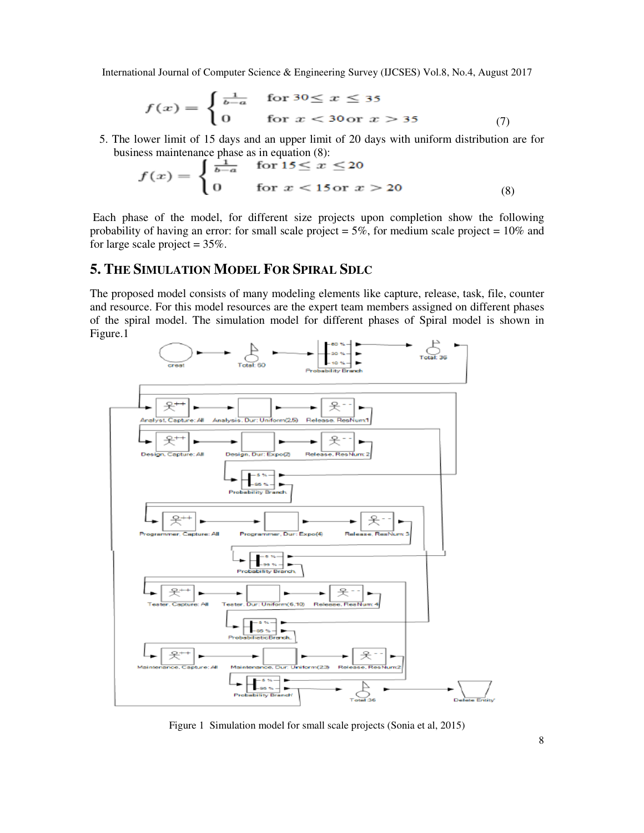$$
f(x) = \begin{cases} \frac{1}{b-a} & \text{for } 30 \le x \le 35\\ 0 & \text{for } x < 30 \text{ or } x > 35 \end{cases} \tag{7}
$$

5. The lower limit of 15 days and an upper limit of 20 days with uniform distribution are for business maintenance phase as in equation (8):

$$
f(x) = \begin{cases} \frac{1}{b-a} & \text{for } 15 \le x \le 20 \\ 0 & \text{for } x < 15 \text{ or } x > 20 \end{cases}
$$
 (8)

 Each phase of the model, for different size projects upon completion show the following probability of having an error: for small scale project =  $5\%$ , for medium scale project =  $10\%$  and for large scale project =  $35\%$ .

# **5. THE SIMULATION MODEL FOR SPIRAL SDLC**

The proposed model consists of many modeling elements like capture, release, task, file, counter and resource. For this model resources are the expert team members assigned on different phases of the spiral model. The simulation model for different phases of Spiral model is shown in Figure.1



Figure 1 Simulation model for small scale projects (Sonia et al, 2015)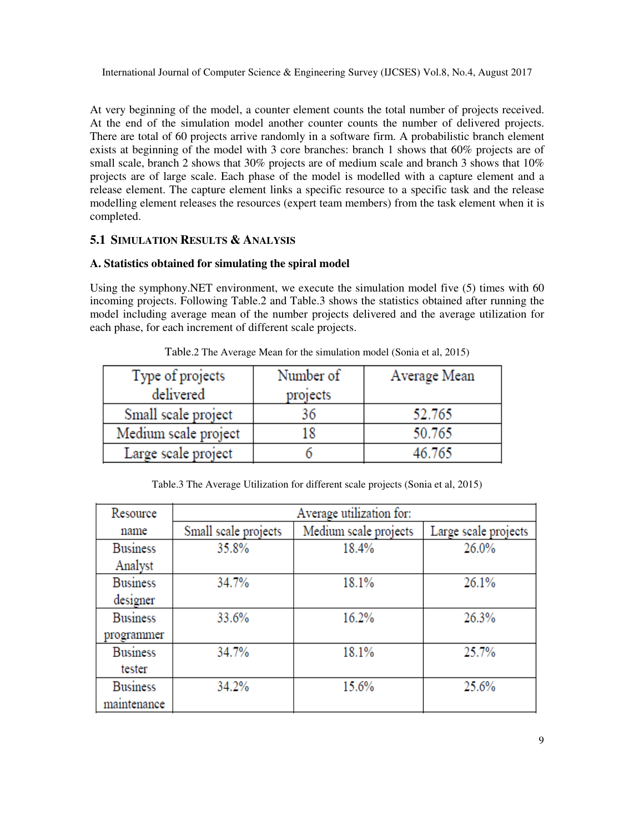At very beginning of the model, a counter element counts the total number of projects received. At the end of the simulation model another counter counts the number of delivered projects. There are total of 60 projects arrive randomly in a software firm. A probabilistic branch element exists at beginning of the model with 3 core branches: branch 1 shows that 60% projects are of small scale, branch 2 shows that 30% projects are of medium scale and branch 3 shows that  $10\%$ projects are of large scale. Each phase of the model is modelled with a capture element and a release element. The capture element links a specific resource to a specific task and the release modelling element releases the resources (expert team members) from the task element when it is completed.

#### **5.1 SIMULATION RESULTS & ANALYSIS**

#### **A. Statistics obtained for simulating the spiral model**

Using the symphony.NET environment, we execute the simulation model five (5) times with 60 incoming projects. Following Table.2 and Table.3 shows the statistics obtained after running the model including average mean of the number projects delivered and the average utilization for each phase, for each increment of different scale projects.

| Type of projects<br>delivered | Number of<br>projects | Average Mean |
|-------------------------------|-----------------------|--------------|
| Small scale project           | 50                    | 52.765       |
| Medium scale project          |                       | 50.765       |
| Large scale project           |                       | 46.765       |

Table.2 The Average Mean for the simulation model (Sonia et al, 2015)

Table.3 The Average Utilization for different scale projects (Sonia et al, 2015)

| Resource        | Average utilization for: |                       |                      |  |  |
|-----------------|--------------------------|-----------------------|----------------------|--|--|
| name            | Small scale projects     | Medium scale projects | Large scale projects |  |  |
| <b>Business</b> | 35.8%                    | 18.4%                 | 26.0%                |  |  |
| Analyst         |                          |                       |                      |  |  |
| <b>Business</b> | 34.7%                    | 18.1%                 | 26.1%                |  |  |
| designer        |                          |                       |                      |  |  |
| <b>Business</b> | 33.6%                    | 16.2%                 | 26.3%                |  |  |
| programmer      |                          |                       |                      |  |  |
| <b>Business</b> | 34.7%                    | 18.1%                 | 25.7%                |  |  |
| tester          |                          |                       |                      |  |  |
| <b>Business</b> | 34.2%                    | 15.6%                 | 25.6%                |  |  |
| maintenance     |                          |                       |                      |  |  |